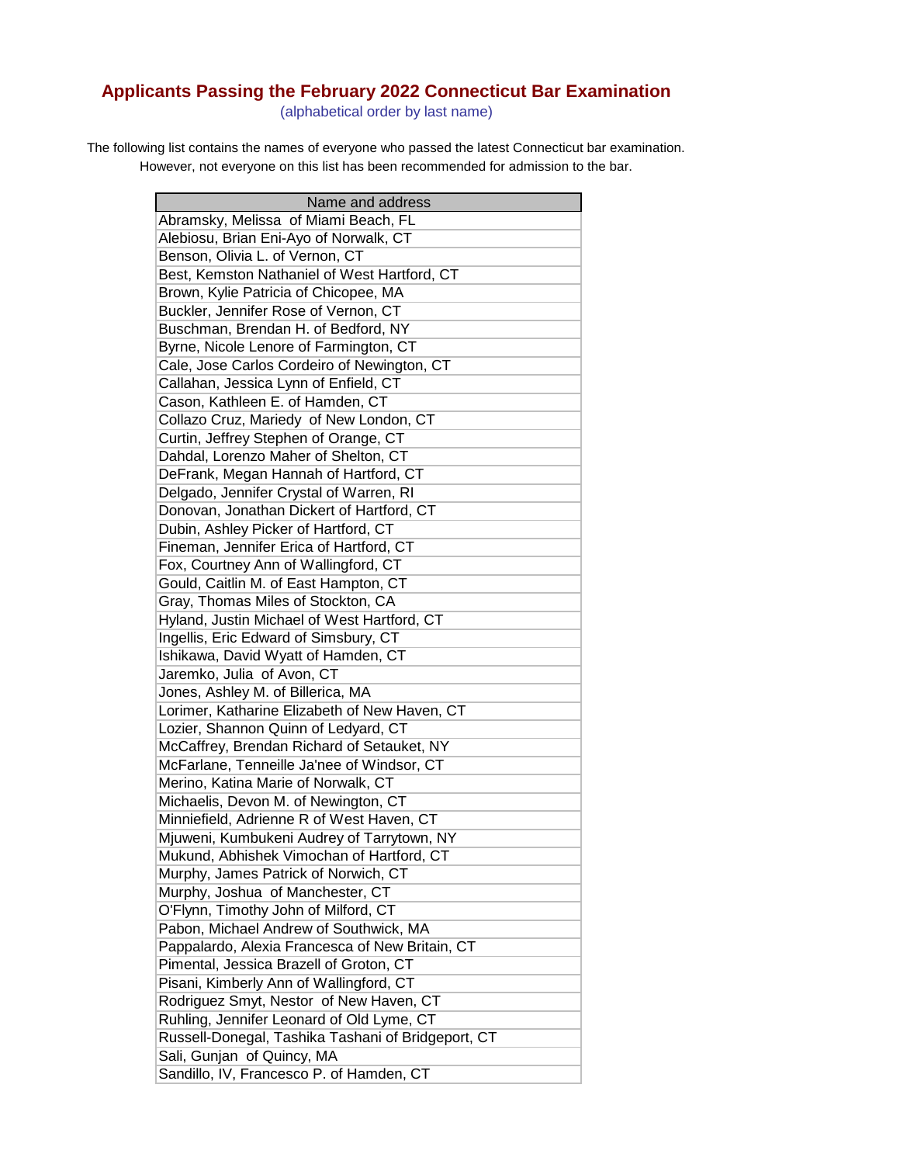## **Applicants Passing the February 2022 Connecticut Bar Examination**

(alphabetical order by last name)

The following list contains the names of everyone who passed the latest Connecticut bar examination. However, not everyone on this list has been recommended for admission to the bar.

| Name and address                                   |
|----------------------------------------------------|
| Abramsky, Melissa of Miami Beach, FL               |
| Alebiosu, Brian Eni-Ayo of Norwalk, CT             |
| Benson, Olivia L. of Vernon, CT                    |
| Best, Kemston Nathaniel of West Hartford, CT       |
| Brown, Kylie Patricia of Chicopee, MA              |
| Buckler, Jennifer Rose of Vernon, CT               |
| Buschman, Brendan H. of Bedford, NY                |
| Byrne, Nicole Lenore of Farmington, CT             |
| Cale, Jose Carlos Cordeiro of Newington, CT        |
| Callahan, Jessica Lynn of Enfield, CT              |
| Cason, Kathleen E. of Hamden, CT                   |
| Collazo Cruz, Mariedy of New London, CT            |
| Curtin, Jeffrey Stephen of Orange, CT              |
| Dahdal, Lorenzo Maher of Shelton, CT               |
| DeFrank, Megan Hannah of Hartford, CT              |
| Delgado, Jennifer Crystal of Warren, RI            |
| Donovan, Jonathan Dickert of Hartford, CT          |
| Dubin, Ashley Picker of Hartford, CT               |
| Fineman, Jennifer Erica of Hartford, CT            |
| Fox, Courtney Ann of Wallingford, CT               |
| Gould, Caitlin M. of East Hampton, CT              |
| Gray, Thomas Miles of Stockton, CA                 |
| Hyland, Justin Michael of West Hartford, CT        |
| Ingellis, Eric Edward of Simsbury, CT              |
| Ishikawa, David Wyatt of Hamden, CT                |
| Jaremko, Julia of Avon, CT                         |
| Jones, Ashley M. of Billerica, MA                  |
| Lorimer, Katharine Elizabeth of New Haven, CT      |
| Lozier, Shannon Quinn of Ledyard, CT               |
| McCaffrey, Brendan Richard of Setauket, NY         |
| McFarlane, Tenneille Ja'nee of Windsor, CT         |
| Merino, Katina Marie of Norwalk, CT                |
| Michaelis, Devon M. of Newington, CT               |
| Minniefield, Adrienne R of West Haven, CT          |
| Mjuweni, Kumbukeni Audrey of Tarrytown, NY         |
| Mukund, Abhishek Vimochan of Hartford, CT          |
| Murphy, James Patrick of Norwich, CT               |
| Murphy, Joshua of Manchester, CT                   |
| O'Flynn, Timothy John of Milford, CT               |
| Pabon, Michael Andrew of Southwick, MA             |
| Pappalardo, Alexia Francesca of New Britain, CT    |
| Pimental, Jessica Brazell of Groton, CT            |
| Pisani, Kimberly Ann of Wallingford, CT            |
| Rodriguez Smyt, Nestor of New Haven, CT            |
| Ruhling, Jennifer Leonard of Old Lyme, CT          |
| Russell-Donegal, Tashika Tashani of Bridgeport, CT |
| Sali, Gunjan of Quincy, MA                         |
| Sandillo, IV, Francesco P. of Hamden, CT           |